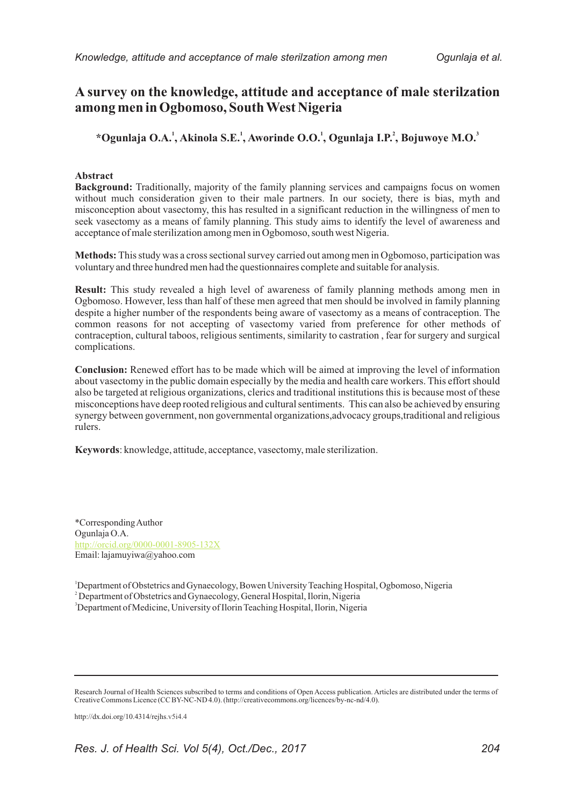# **A survey on the knowledge, attitude and acceptance of male sterilzation among men in Ogbomoso, South West Nigeria**

**1 1 1 2 3 \*Ogunlaja O.A. , Akinola S.E. , Aworinde O.O. , Ogunlaja I.P. , Bojuwoye M.O.**

## **Abstract**

**Background:** Traditionally, majority of the family planning services and campaigns focus on women without much consideration given to their male partners. In our society, there is bias, myth and misconception about vasectomy, this has resulted in a significant reduction in the willingness of men to seek vasectomy as a means of family planning. This study aims to identify the level of awareness and acceptance of male sterilization among men in Ogbomoso, south west Nigeria.

**Methods:** This study was a cross sectional survey carried out among men in Ogbomoso, participation was voluntary and three hundred men had the questionnaires complete and suitable for analysis.

**Result:** This study revealed a high level of awareness of family planning methods among men in Ogbomoso. However, less than half of these men agreed that men should be involved in family planning despite a higher number of the respondents being aware of vasectomy as a means of contraception. The common reasons for not accepting of vasectomy varied from preference for other methods of contraception, cultural taboos, religious sentiments, similarity to castration , fear for surgery and surgical complications.

**Conclusion:** Renewed effort has to be made which will be aimed at improving the level of information about vasectomy in the public domain especially by the media and health care workers. This effort should also be targeted at religious organizations, clerics and traditional institutions this is because most of these misconceptions have deep rooted religious and cultural sentiments. This can also be achieved by ensuring synergy between government, non governmental organizations,advocacy groups,traditional and religious rulers.

**Keywords**: knowledge, attitude, acceptance, vasectomy, male sterilization.

\*Corresponding Author Ogunlaja O.A. Email: lajamuyiwa@yahoo.com http://orcid.org/0000-0001-8905-132X

<sup>1</sup>Department of Obstetrics and Gynaecology, Bowen University Teaching Hospital, Ogbomoso, Nigeria <sup>2</sup> Department of Obstetrics and Gynaecology, General Hospital, Ilorin, Nigeria <sup>3</sup>Department of Medicine, University of Ilorin Teaching Hospital, Ilorin, Nigeria

http://dx.doi.org/10.4314/rejhs.v5i4.4

Research Journal of Health Sciences subscribed to terms and conditions of Open Access publication. Articles are distributed under the terms of Creative Commons Licence (CC BY-NC-ND 4.0). (http://creativecommons.org/licences/by-nc-nd/4.0).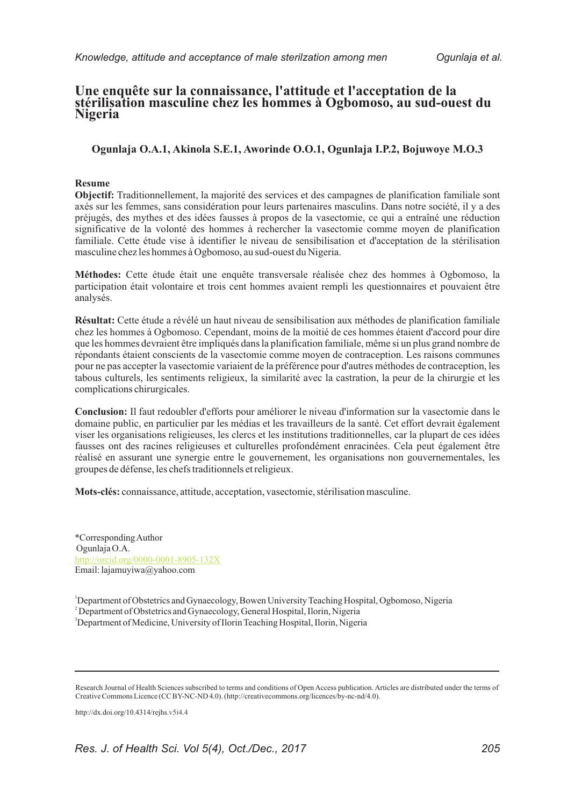# **Une enquête sur la connaissance, l'attitude et l'acceptation de la stérilisation masculine chez les hommes à Ogbomoso, au sud-ouest du Nigeria**

## **Ogunlaja O.A.1, Akinola S.E.1, Aworinde O.O.1, Ogunlaja I.P.2, Bojuwoye M.O.3**

#### **Resume**

**Objectif:** Traditionnellement, la majorité des services et des campagnes de planification familiale sont axés sur les femmes, sans considération pour leurs partenaires masculins. Dans notre société, il y a des préjugés, des mythes et des idées fausses à propos de la vasectomie, ce qui a entraîné une réduction significative de la volonté des hommes à rechercher la vasectomie comme moyen de planification familiale. Cette étude vise à identifier le niveau de sensibilisation et d'acceptation de la stérilisation masculine chez les hommes à Ogbomoso, au sud-ouest du Nigeria.

**Méthodes:** Cette étude était une enquête transversale réalisée chez des hommes à Ogbomoso, la participation était volontaire et trois cent hommes avaient rempli les questionnaires et pouvaient être analysés.

**Résultat:** Cette étude a révélé un haut niveau de sensibilisation aux méthodes de planification familiale chez les hommes à Ogbomoso. Cependant, moins de la moitié de ces hommes étaient d'accord pour dire que les hommes devraient être impliqués dans la planification familiale, même si un plus grand nombre de répondants étaient conscients de la vasectomie comme moyen de contraception. Les raisons communes pour ne pas accepter la vasectomie variaient de la préférence pour d'autres méthodes de contraception, les tabous culturels, les sentiments religieux, la similarité avec la castration, la peur de la chirurgie et les complications chirurgicales.

**Conclusion:** Il faut redoubler d'efforts pour améliorer le niveau d'information sur la vasectomie dans le domaine public, en particulier par les médias et les travailleurs de la santé. Cet effort devrait également viser les organisations religieuses, les clercs et les institutions traditionnelles, car la plupart de ces idées fausses ont des racines religieuses et culturelles profondément enracinées. Cela peut également être réalisé en assurant une synergie entre le gouvernement, les organisations non gouvernementales, les groupes de défense, les chefs traditionnels et religieux.

**Mots-clés:** connaissance, attitude, acceptation, vasectomie, stérilisation masculine.

\*Corresponding Author Ogunlaja O.A. Email: lajamuyiwa@yahoo.com http://orcid.org/0000-0001-8905-132X

<sup>1</sup>Department of Obstetrics and Gynaecology, Bowen University Teaching Hospital, Ogbomoso, Nigeria <sup>2</sup> Department of Obstetrics and Gynaecology, General Hospital, Ilorin, Nigeria

<sup>3</sup>Department of Medicine, University of Ilorin Teaching Hospital, Ilorin, Nigeria

http://dx.doi.org/10.4314/rejhs.v5i4.4

Research Journal of Health Sciences subscribed to terms and conditions of Open Access publication. Articles are distributed under the terms of Creative Commons Licence (CC BY-NC-ND 4.0). (http://creativecommons.org/licences/by-nc-nd/4.0).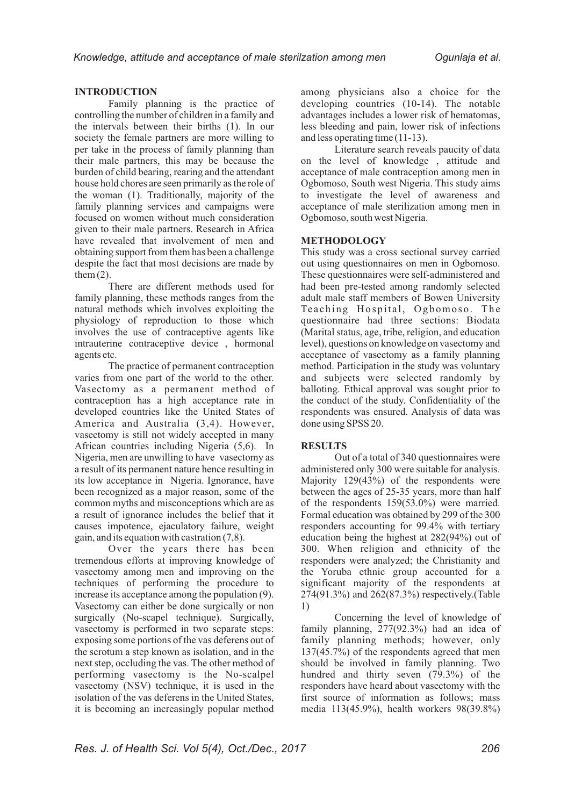#### **INTRODUCTION**

Family planning is the practice of controlling the number of children in a family and the intervals between their births (1). In our society the female partners are more willing to per take in the process of family planning than their male partners, this may be because the burden of child bearing, rearing and the attendant house hold chores are seen primarily as the role of the woman (1). Traditionally, majority of the family planning services and campaigns were focused on women without much consideration given to their male partners. Research in Africa have revealed that involvement of men and obtaining support from them has been a challenge despite the fact that most decisions are made by them  $(2)$ .

There are different methods used for family planning, these methods ranges from the natural methods which involves exploiting the physiology of reproduction to those which involves the use of contraceptive agents like intrauterine contraceptive device , hormonal agents etc.

The practice of permanent contraception varies from one part of the world to the other. Vasectomy as a permanent method of contraception has a high acceptance rate in developed countries like the United States of America and Australia (3,4). However, vasectomy is still not widely accepted in many African countries including Nigeria (5,6). In Nigeria, men are unwilling to have vasectomy as a result of its permanent nature hence resulting in its low acceptance in Nigeria. Ignorance, have been recognized as a major reason, some of the common myths and misconceptions which are as a result of ignorance includes the belief that it causes impotence, ejaculatory failure, weight gain, and its equation with castration (7,8).

Over the years there has been tremendous efforts at improving knowledge of vasectomy among men and improving on the techniques of performing the procedure to increase its acceptance among the population (9). Vasectomy can either be done surgically or non surgically (No-scapel technique). Surgically, vasectomy is performed in two separate steps: exposing some portions of the vas deferens out of the scrotum a step known as isolation, and in the next step, occluding the vas. The other method of performing vasectomy is the No-scalpel vasectomy (NSV) technique, it is used in the isolation of the vas deferens in the United States, it is becoming an increasingly popular method

among physicians also a choice for the developing countries (10-14). The notable advantages includes a lower risk of hematomas, less bleeding and pain, lower risk of infections and less operating time (11-13).

Literature search reveals paucity of data on the level of knowledge , attitude and acceptance of male contraception among men in Ogbomoso, South west Nigeria. This study aims to investigate the level of awareness and acceptance of male sterilization among men in Ogbomoso, south west Nigeria.

#### **METHODOLOGY**

This study was a cross sectional survey carried out using questionnaires on men in Ogbomoso. These questionnaires were self-administered and had been pre-tested among randomly selected adult male staff members of Bowen University Teaching Hospital, Ogbomoso. The questionnaire had three sections: Biodata (Marital status, age, tribe, religion, and education level), questions on knowledge on vasectomy and acceptance of vasectomy as a family planning method. Participation in the study was voluntary and subjects were selected randomly by balloting. Ethical approval was sought prior to the conduct of the study. Confidentiality of the respondents was ensured. Analysis of data was done using SPSS 20.

## **RESULTS**

Out of a total of 340 questionnaires were administered only 300 were suitable for analysis. Majority 129(43%) of the respondents were between the ages of 25-35 years, more than half of the respondents 159(53.0%) were married. Formal education was obtained by 299 of the 300 responders accounting for 99.4% with tertiary education being the highest at 282(94%) out of 300. When religion and ethnicity of the responders were analyzed; the Christianity and the Yoruba ethnic group accounted for a significant majority of the respondents at 274(91.3%) and 262(87.3%) respectively.(Table 1)

Concerning the level of knowledge of family planning, 277(92.3%) had an idea of family planning methods; however, only 137(45.7%) of the respondents agreed that men should be involved in family planning. Two hundred and thirty seven (79.3%) of the responders have heard about vasectomy with the first source of information as follows; mass media 113(45.9%), health workers 98(39.8%)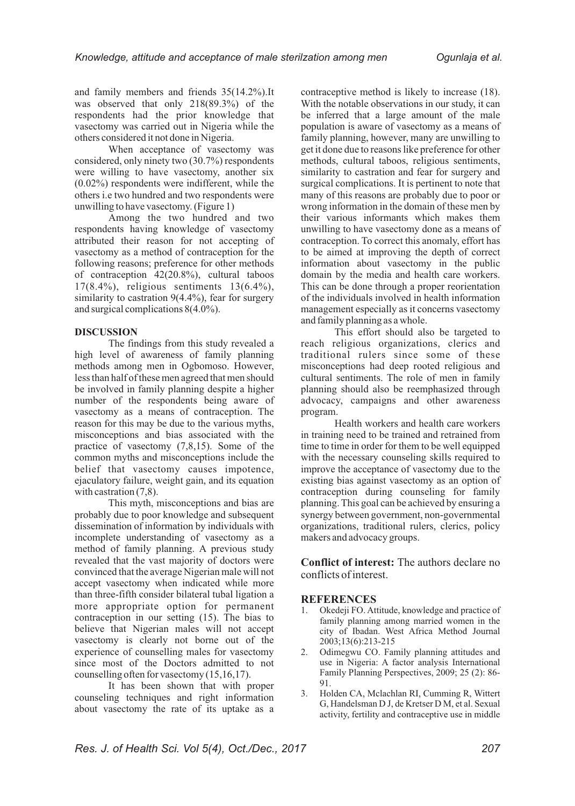and family members and friends 35(14.2%).It was observed that only 218(89.3%) of the respondents had the prior knowledge that vasectomy was carried out in Nigeria while the others considered it not done in Nigeria.

When acceptance of vasectomy was considered, only ninety two (30.7%) respondents were willing to have vasectomy, another six (0.02%) respondents were indifferent, while the others i.e two hundred and two respondents were unwilling to have vasectomy. (Figure 1)

Among the two hundred and two respondents having knowledge of vasectomy attributed their reason for not accepting of vasectomy as a method of contraception for the following reasons; preference for other methods of contraception 42(20.8%), cultural taboos 17(8.4%), religious sentiments 13(6.4%), similarity to castration  $9(4.4\%)$ , fear for surgery and surgical complications 8(4.0%).

#### **DISCUSSION**

The findings from this study revealed a high level of awareness of family planning methods among men in Ogbomoso. However, less than half of these men agreed that men should be involved in family planning despite a higher number of the respondents being aware of vasectomy as a means of contraception. The reason for this may be due to the various myths, misconceptions and bias associated with the practice of vasectomy (7,8,15). Some of the common myths and misconceptions include the belief that vasectomy causes impotence, ejaculatory failure, weight gain, and its equation with castration  $(7,8)$ .

This myth, misconceptions and bias are probably due to poor knowledge and subsequent dissemination of information by individuals with incomplete understanding of vasectomy as a method of family planning. A previous study revealed that the vast majority of doctors were convinced that the average Nigerian male will not accept vasectomy when indicated while more than three-fifth consider bilateral tubal ligation a more appropriate option for permanent contraception in our setting  $(15)$ . The bias to believe that Nigerian males will not accept vasectomy is clearly not borne out of the experience of counselling males for vasectomy since most of the Doctors admitted to not counselling often for vasectomy (15,16,17).

It has been shown that with proper counseling techniques and right information about vasectomy the rate of its uptake as a contraceptive method is likely to increase (18). With the notable observations in our study, it can be inferred that a large amount of the male population is aware of vasectomy as a means of family planning, however, many are unwilling to get it done due to reasons like preference for other methods, cultural taboos, religious sentiments, similarity to castration and fear for surgery and surgical complications. It is pertinent to note that many of this reasons are probably due to poor or wrong information in the domain of these men by their various informants which makes them unwilling to have vasectomy done as a means of contraception. To correct this anomaly, effort has to be aimed at improving the depth of correct information about vasectomy in the public domain by the media and health care workers. This can be done through a proper reorientation of the individuals involved in health information management especially as it concerns vasectomy and family planning as a whole.

This effort should also be targeted to reach religious organizations, clerics and traditional rulers since some of these misconceptions had deep rooted religious and cultural sentiments. The role of men in family planning should also be reemphasized through advocacy, campaigns and other awareness program.

Health workers and health care workers in training need to be trained and retrained from time to time in order for them to be well equipped with the necessary counseling skills required to improve the acceptance of vasectomy due to the existing bias against vasectomy as an option of contraception during counseling for family planning. This goal can be achieved by ensuring a synergy between government, non-governmental organizations, traditional rulers, clerics, policy makers and advocacy groups.

**Conflict of interest:** The authors declare no conflicts of interest.

#### **REFERENCES**

- 1. Okedeji FO. Attitude, knowledge and practice of family planning among married women in the city of Ibadan. West Africa Method Journal 2003;13(6):213-215
- 2. Odimegwu CO. Family planning attitudes and use in Nigeria: A factor analysis International Family Planning Perspectives, 2009; 25 (2): 86- 91.
- 3. Holden CA, Mclachlan RI, Cumming R, Wittert G, Handelsman D J, de Kretser D M, et al. Sexual activity, fertility and contraceptive use in middle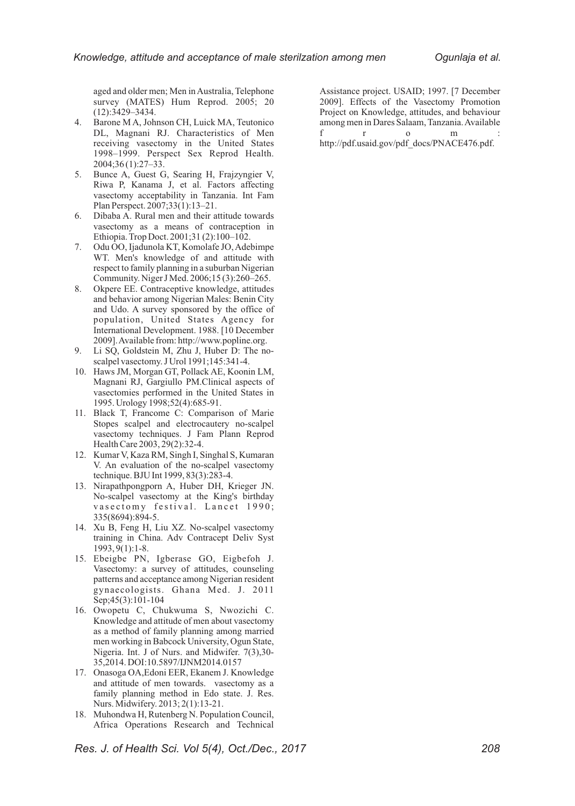aged and older men; Men in Australia, Telephone survey (MATES) Hum Reprod. 2005; 20 (12):3429–3434.

- 4. Barone M A, Johnson CH, Luick MA, Teutonico DL, Magnani RJ. Characteristics of Men receiving vasectomy in the United States 1998–1999. Perspect Sex Reprod Health. 2004;36 (1):27–33.
- 5. Bunce A, Guest G, Searing H, Frajzyngier V, Riwa P, Kanama J, et al. Factors affecting vasectomy acceptability in Tanzania. Int Fam Plan Perspect. 2007;33(1):13–21.
- 6. Dibaba A. Rural men and their attitude towards vasectomy as a means of contraception in Ethiopia. Trop Doct. 2001;31 (2):100–102.
- 7. Odu OO, Ijadunola KT, Komolafe JO, Adebimpe WT. Men's knowledge of and attitude with respect to family planning in a suburban Nigerian Community. Niger J Med. 2006;15 (3):260–265.
- 8. Okpere EE. Contraceptive knowledge, attitudes and behavior among Nigerian Males: Benin City and Udo. A survey sponsored by the office of population, United States Agency for International Development. 1988. [10 December 2009]. Available from: http://www.popline.org.
- 9. Li SQ, Goldstein M, Zhu J, Huber D: The noscalpel vasectomy. J Urol 1991;145:341-4.
- 10. Haws JM, Morgan GT, Pollack AE, Koonin LM, Magnani RJ, Gargiullo PM.Clinical aspects of vasectomies performed in the United States in 1995. Urology 1998;52(4):685-91.
- 11. Black T, Francome C: Comparison of Marie Stopes scalpel and electrocautery no-scalpel vasectomy techniques. J Fam Plann Reprod Health Care 2003, 29(2):32-4.
- 12. Kumar V, Kaza RM, Singh I, Singhal S, Kumaran V. An evaluation of the no-scalpel vasectomy technique. BJU Int 1999, 83(3):283-4.
- 13. Nirapathpongporn A, Huber DH, Krieger JN. No-scalpel vasectomy at the King's birthday vasectomy festival. Lancet 1990; 335(8694):894-5.
- 14. Xu B, Feng H, Liu XZ. No-scalpel vasectomy training in China. Adv Contracept Deliv Syst 1993, 9(1):1-8.
- 15. Ebeigbe PN, Igberase GO, Eigbefoh J. Vasectomy: a survey of attitudes, counseling patterns and acceptance among Nigerian resident gynaecologists. Ghana Med. J. 2011 Sep;45(3):101-104
- 16. Owopetu C, Chukwuma S, Nwozichi C. Knowledge and attitude of men about vasectomy as a method of family planning among married men working in Babcock University, Ogun State, Nigeria. Int. J of Nurs. and Midwifer. 7(3),30- 35,2014. DOI:10.5897/IJNM2014.0157
- 17. Onasoga OA,Edoni EER, Ekanem J. Knowledge and attitude of men towards. vasectomy as a family planning method in Edo state. J. Res. Nurs. Midwifery. 2013; 2(1):13-21.
- 18. Muhondwa H, Rutenberg N. Population Council, Africa Operations Research and Technical

Assistance project. USAID; 1997. [7 December 2009]. Effects of the Vasectomy Promotion Project on Knowledge, attitudes, and behaviour among men in Dares Salaam, Tanzania. Available f r o m : http://pdf.usaid.gov/pdf\_docs/PNACE476.pdf.

*Res. J. of Health Sci. Vol 5(4), Oct./Dec., 2017 208*